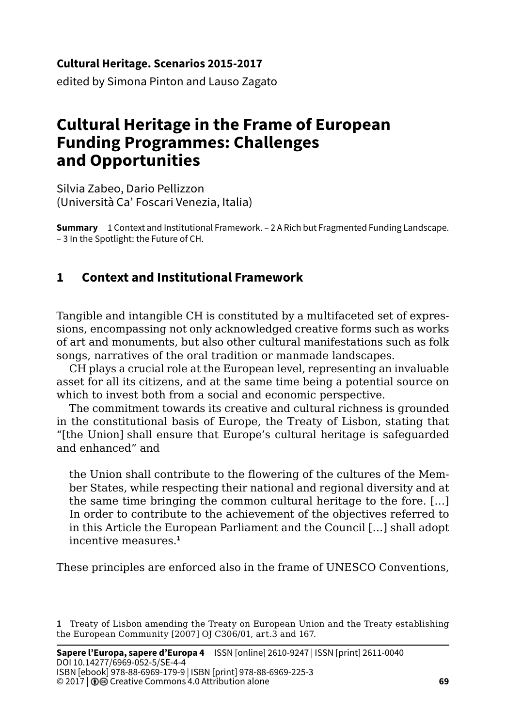#### **Cultural Heritage. Scenarios 2015-2017**

edited by Simona Pinton and Lauso Zagato

# **Cultural Heritage in the Frame of European Funding Programmes: Challenges and Opportunities**

Silvia Zabeo, Dario Pellizzon (Università Ca' Foscari Venezia, Italia)

**Summary** 1 Context and Institutional Framework. – 2 A Rich but Fragmented Funding Landscape. – 3 In the Spotlight: the Future of CH.

## **1 Context and Institutional Framework**

Tangible and intangible CH is constituted by a multifaceted set of expressions, encompassing not only acknowledged creative forms such as works of art and monuments, but also other cultural manifestations such as folk songs, narratives of the oral tradition or manmade landscapes.

CH plays a crucial role at the European level, representing an invaluable asset for all its citizens, and at the same time being a potential source on which to invest both from a social and economic perspective.

The commitment towards its creative and cultural richness is grounded in the constitutional basis of Europe, the Treaty of Lisbon, stating that "[the Union] shall ensure that Europe's cultural heritage is safeguarded and enhanced" and

the Union shall contribute to the flowering of the cultures of the Member States, while respecting their national and regional diversity and at the same time bringing the common cultural heritage to the fore. […] In order to contribute to the achievement of the objectives referred to in this Article the European Parliament and the Council […] shall adopt incentive measures.**<sup>1</sup>**

These principles are enforced also in the frame of UNESCO Conventions,

**<sup>1</sup>** Treaty of Lisbon amending the Treaty on European Union and the Treaty establishing the European Community [2007] OJ C306/01, art.3 and 167.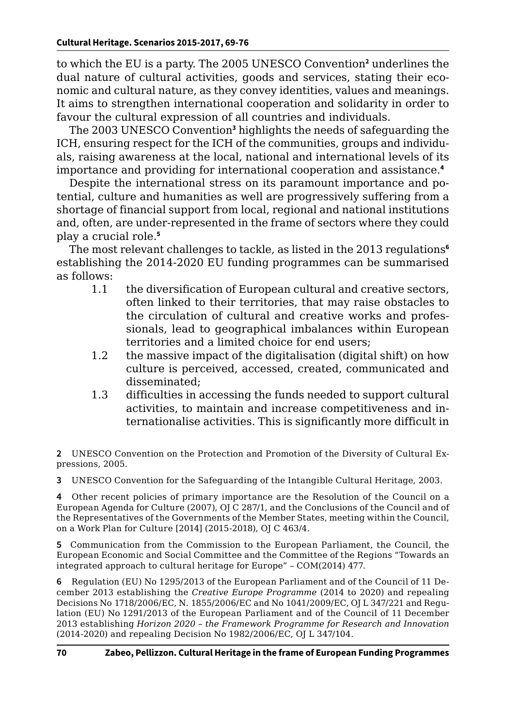to which the EU is a party. The 2005 UNESCO Convention**<sup>2</sup>** underlines the dual nature of cultural activities, goods and services, stating their economic and cultural nature, as they convey identities, values and meanings. It aims to strengthen international cooperation and solidarity in order to favour the cultural expression of all countries and individuals.

The 2003 UNESCO Convention**<sup>3</sup>** highlights the needs of safeguarding the ICH, ensuring respect for the ICH of the communities, groups and individuals, raising awareness at the local, national and international levels of its importance and providing for international cooperation and assistance.**<sup>4</sup>**

Despite the international stress on its paramount importance and potential, culture and humanities as well are progressively suffering from a shortage of financial support from local, regional and national institutions and, often, are under-represented in the frame of sectors where they could play a crucial role.**<sup>5</sup>**

The most relevant challenges to tackle, as listed in the 2013 regulations**<sup>6</sup>** establishing the 2014-2020 EU funding programmes can be summarised as follows:

- 1.1 the diversification of European cultural and creative sectors, often linked to their territories, that may raise obstacles to the circulation of cultural and creative works and professionals, lead to geographical imbalances within European territories and a limited choice for end users;
- 1.2 the massive impact of the digitalisation (digital shift) on how culture is perceived, accessed, created, communicated and disseminated;
- 1.3 difficulties in accessing the funds needed to support cultural activities, to maintain and increase competitiveness and internationalise activities. This is significantly more difficult in

**2** UNESCO Convention on the Protection and Promotion of the Diversity of Cultural Expressions, 2005.

**3** UNESCO Convention for the Safeguarding of the Intangible Cultural Heritage, 2003.

**4** Other recent policies of primary importance are the Resolution of the Council on a European Agenda for Culture (2007), OJ C 287/1, and the Conclusions of the Council and of the Representatives of the Governments of the Member States, meeting within the Council, on a Work Plan for Culture [2014] (2015-2018), OJ C 463/4.

**5** Communication from the Commission to the European Parliament, the Council, the European Economic and Social Committee and the Committee of the Regions "Towards an integrated approach to cultural heritage for Europe" – COM(2014) 477.

**6** Regulation (EU) No 1295/2013 of the European Parliament and of the Council of 11 December 2013 establishing the *Creative Europe Programme* (2014 to 2020) and repealing Decisions No 1718/2006/EC, N. 1855/2006/EC and No 1041/2009/EC, OJ L 347/221 and Regulation (EU) No 1291/2013 of the European Parliament and of the Council of 11 December 2013 establishing *Horizon 2020 – the Framework Programme for Research and Innovation* (2014-2020) and repealing Decision No 1982/2006/EC, OJ L 347/104.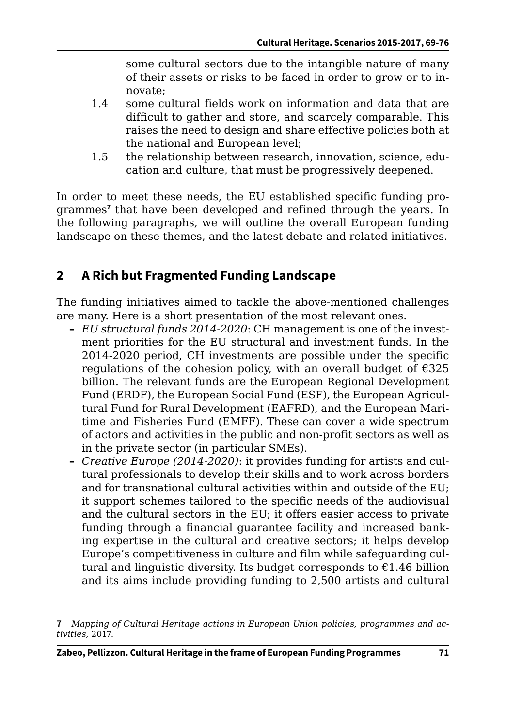some cultural sectors due to the intangible nature of many of their assets or risks to be faced in order to grow or to innovate;

- 1.4 some cultural fields work on information and data that are difficult to gather and store, and scarcely comparable. This raises the need to design and share effective policies both at the national and European level;
- 1.5 the relationship between research, innovation, science, education and culture, that must be progressively deepened.

In order to meet these needs, the EU established specific funding programmes**<sup>7</sup>** that have been developed and refined through the years. In the following paragraphs, we will outline the overall European funding landscape on these themes, and the latest debate and related initiatives.

## **2 A Rich but Fragmented Funding Landscape**

The funding initiatives aimed to tackle the above-mentioned challenges are many. Here is a short presentation of the most relevant ones.

- **–** *EU structural funds 2014-2020*: CH management is one of the investment priorities for the EU structural and investment funds. In the 2014-2020 period, CH investments are possible under the specific regulations of the cohesion policy, with an overall budget of  $\epsilon$ 325 billion. The relevant funds are the European Regional Development Fund (ERDF), the European Social Fund (ESF), the European Agricultural Fund for Rural Development (EAFRD), and the European Maritime and Fisheries Fund (EMFF). These can cover a wide spectrum of actors and activities in the public and non-profit sectors as well as in the private sector (in particular SMEs).
- **–** *Creative Europe (2014-2020)*: it provides funding for artists and cultural professionals to develop their skills and to work across borders and for transnational cultural activities within and outside of the EU; it support schemes tailored to the specific needs of the audiovisual and the cultural sectors in the EU; it offers easier access to private funding through a financial guarantee facility and increased banking expertise in the cultural and creative sectors; it helps develop Europe's competitiveness in culture and film while safeguarding cultural and linguistic diversity. Its budget corresponds to  $£1.46$  billion and its aims include providing funding to 2,500 artists and cultural

**<sup>7</sup>** *Mapping of Cultural Heritage actions in European Union policies, programmes and activities*, 2017.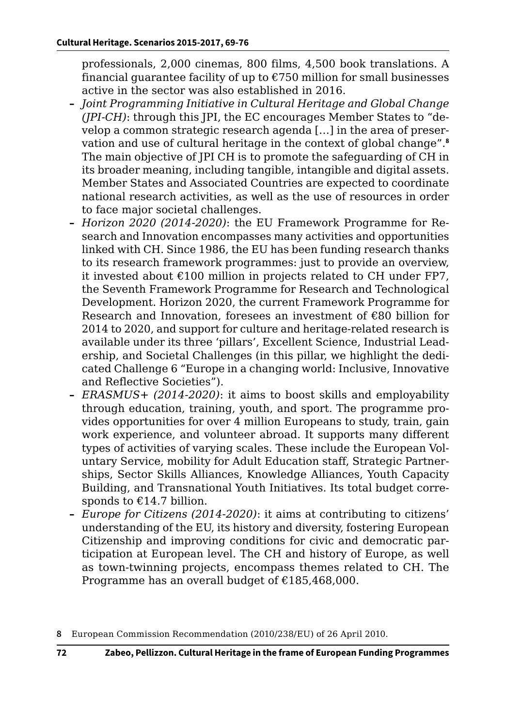professionals, 2,000 cinemas, 800 films, 4,500 book translations. A financial guarantee facility of up to  $\epsilon$ 750 million for small businesses active in the sector was also established in 2016.

- **–** *Joint Programming Initiative in Cultural Heritage and Global Change (JPI-CH)*: through this JPI, the EC encourages Member States to "develop a common strategic research agenda […] in the area of preservation and use of cultural heritage in the context of global change".**<sup>8</sup>** The main objective of JPI CH is to promote the safeguarding of CH in its broader meaning, including tangible, intangible and digital assets. Member States and Associated Countries are expected to coordinate national research activities, as well as the use of resources in order to face major societal challenges.
- **–** *Horizon 2020 (2014-2020)*: the EU Framework Programme for Research and Innovation encompasses many activities and opportunities linked with CH. Since 1986, the EU has been funding research thanks to its research framework programmes: just to provide an overview, it invested about  $\epsilon$ 100 million in projects related to CH under FP7, the Seventh Framework Programme for Research and Technological Development. Horizon 2020, the current Framework Programme for Research and Innovation, foresees an investment of €80 billion for 2014 to 2020, and support for culture and heritage-related research is available under its three 'pillars', Excellent Science, Industrial Leadership, and Societal Challenges (in this pillar, we highlight the dedicated Challenge 6 "Europe in a changing world: Inclusive, Innovative and Reflective Societies").
- **–** *ERASMUS+ (2014-2020)*: it aims to boost skills and employability through education, training, youth, and sport. The programme provides opportunities for over 4 million Europeans to study, train, gain work experience, and volunteer abroad. It supports many different types of activities of varying scales. These include the European Voluntary Service, mobility for Adult Education staff, Strategic Partnerships, Sector Skills Alliances, Knowledge Alliances, Youth Capacity Building, and Transnational Youth Initiatives. Its total budget corresponds to  $£14.7$  billion.
- **–** *Europe for Citizens (2014-2020)*: it aims at contributing to citizens' understanding of the EU, its history and diversity, fostering European Citizenship and improving conditions for civic and democratic participation at European level. The CH and history of Europe, as well as town-twinning projects, encompass themes related to CH. The Programme has an overall budget of €185,468,000.

**<sup>8</sup>** European Commission Recommendation (2010/238/EU) of 26 April 2010.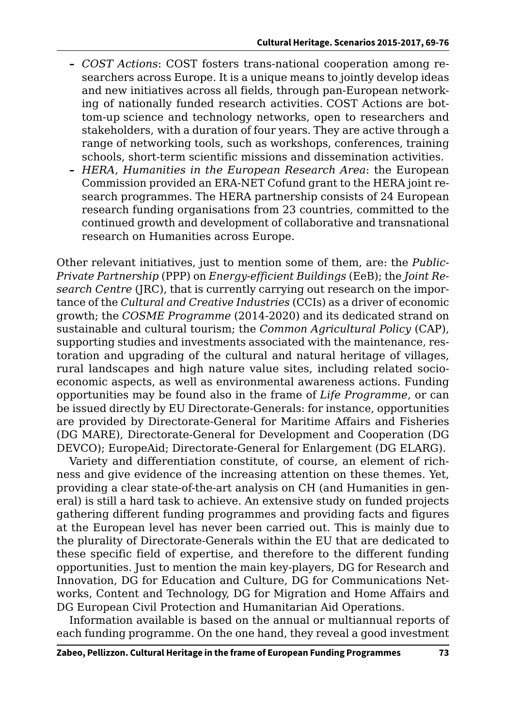- **–** *COST Actions*: COST fosters trans-national cooperation among researchers across Europe. It is a unique means to jointly develop ideas and new initiatives across all fields, through pan-European networking of nationally funded research activities. COST Actions are bottom-up science and technology networks, open to researchers and stakeholders, with a duration of four years. They are active through a range of networking tools, such as workshops, conferences, training schools, short-term scientific missions and dissemination activities.
- **–** *HERA, Humanities in the European Research Area*: the European Commission provided an ERA-NET Cofund grant to the HERA joint research programmes. The HERA partnership consists of 24 European research funding organisations from 23 countries, committed to the continued growth and development of collaborative and transnational research on Humanities across Europe.

Other relevant initiatives, just to mention some of them, are: the *Public-Private Partnership* (PPP) on *Energy-efficient Buildings* (EeB); the *Joint Research Centre* (JRC), that is currently carrying out research on the importance of the *Cultural and Creative Industries* (CCIs) as a driver of economic growth; the *COSME Programme* (2014-2020) and its dedicated strand on sustainable and cultural tourism; the *Common Agricultural Policy* (CAP), supporting studies and investments associated with the maintenance, restoration and upgrading of the cultural and natural heritage of villages, rural landscapes and high nature value sites, including related socioeconomic aspects, as well as environmental awareness actions. Funding opportunities may be found also in the frame of *Life Programme*, or can be issued directly by EU Directorate-Generals: for instance, opportunities are provided by Directorate-General for Maritime Affairs and Fisheries (DG MARE), Directorate-General for Development and Cooperation (DG DEVCO); EuropeAid; Directorate-General for Enlargement (DG ELARG).

Variety and differentiation constitute, of course, an element of richness and give evidence of the increasing attention on these themes. Yet, providing a clear state-of-the-art analysis on CH (and Humanities in general) is still a hard task to achieve. An extensive study on funded projects gathering different funding programmes and providing facts and figures at the European level has never been carried out. This is mainly due to the plurality of Directorate-Generals within the EU that are dedicated to these specific field of expertise, and therefore to the different funding opportunities. Just to mention the main key-players, DG for Research and Innovation, DG for Education and Culture, DG for Communications Networks, Content and Technology, DG for Migration and Home Affairs and DG European Civil Protection and Humanitarian Aid Operations.

Information available is based on the annual or multiannual reports of each funding programme. On the one hand, they reveal a good investment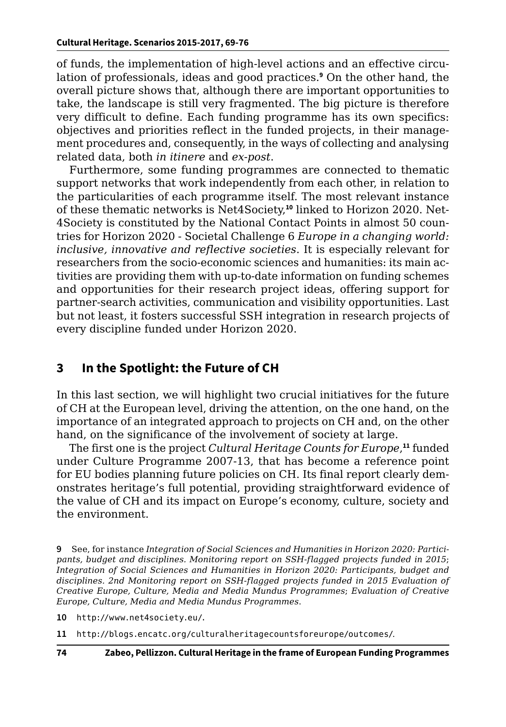of funds, the implementation of high-level actions and an effective circulation of professionals, ideas and good practices.**<sup>9</sup>** On the other hand, the overall picture shows that, although there are important opportunities to take, the landscape is still very fragmented. The big picture is therefore very difficult to define. Each funding programme has its own specifics: objectives and priorities reflect in the funded projects, in their management procedures and, consequently, in the ways of collecting and analysing related data, both *in itinere* and *ex-post*.

Furthermore, some funding programmes are connected to thematic support networks that work independently from each other, in relation to the particularities of each programme itself. The most relevant instance of these thematic networks is Net4Society,**10** linked to Horizon 2020. Net-4Society is constituted by the National Contact Points in almost 50 countries for Horizon 2020 - Societal Challenge 6 *Europe in a changing world: inclusive, innovative and reflective societies*. It is especially relevant for researchers from the socio-economic sciences and humanities: its main activities are providing them with up-to-date information on funding schemes and opportunities for their research project ideas, offering support for partner-search activities, communication and visibility opportunities. Last but not least, it fosters successful SSH integration in research projects of every discipline funded under Horizon 2020.

### **3 In the Spotlight: the Future of CH**

In this last section, we will highlight two crucial initiatives for the future of CH at the European level, driving the attention, on the one hand, on the importance of an integrated approach to projects on CH and, on the other hand, on the significance of the involvement of society at large.

The first one is the project *Cultural Heritage Counts for Europe*, **<sup>11</sup>** funded under Culture Programme 2007-13, that has become a reference point for EU bodies planning future policies on CH. Its final report clearly demonstrates heritage's full potential, providing straightforward evidence of the value of CH and its impact on Europe's economy, culture, society and the environment.

**9** See, for instance *Integration of Social Sciences and Humanities in Horizon 2020: Participants, budget and disciplines. Monitoring report on SSH-flagged projects funded in 2015*; *Integration of Social Sciences and Humanities in Horizon 2020: Participants, budget and disciplines. 2nd Monitoring report on SSH-flagged projects funded in 2015 Evaluation of Creative Europe, Culture, Media and Media Mundus Programmes*; *Evaluation of Creative Europe, Culture, Media and Media Mundus Programmes*.

**10** <http://www.net4society.eu/>.

**11** <http://blogs.encatc.org/culturalheritagecountsforeurope/outcomes/>.

**74 Zabeo, Pellizzon. Cultural Heritage in the frame of European Funding Programmes**